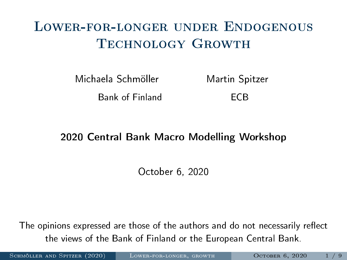# <span id="page-0-0"></span>Lower-for-longer under Endogenous Technology Growth

Michaela Schmöller Martin Spitzer

Bank of Finland ECB

2020 Central Bank Macro Modelling Workshop

October 6, 2020

The opinions expressed are those of the authors and do not necessarily reflect the views of the Bank of Finland or the European Central Bank.

SCHMÖLLER AND SPITZER (2020) LOWER-FOR-LONGER, GROWTH COTOBER 6, 2020 1 / 9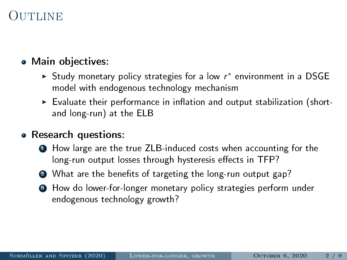### OUTLINE

#### • Main objectives:

- ► Study monetary policy strategies for a low r\* environment in a DSGE model with endogenous technology mechanism
- $\blacktriangleright$  Evaluate their performance in inflation and output stabilization (shortand long-run) at the ELB

#### • Research questions:

- How large are the true ZLB-induced costs when accounting for the long-run output losses through hysteresis effects in TFP?
- 2 What are the benefits of targeting the long-run output gap?
- <sup>3</sup> How do lower-for-longer monetary policy strategies perform under endogenous technology growth?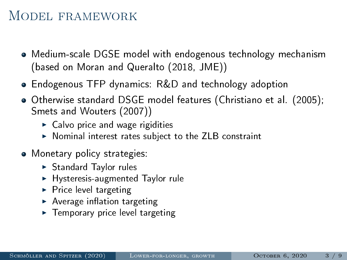## Model framework

- Medium-scale DGSE model with endogenous technology mechanism (based on Moran and Queralto (2018, JME))
- Endogenous TFP dynamics: R&D and technology adoption
- Otherwise standard DSGE model features (Christiano et al. (2005); Smets and Wouters (2007))
	- $\triangleright$  Calvo price and wage rigidities
	- $\triangleright$  Nominal interest rates subject to the ZLB constraint
- Monetary policy strategies:
	- $\triangleright$  Standard Taylor rules
	- $\blacktriangleright$  Hysteresis-augmented Taylor rule
	- $\blacktriangleright$  Price level targeting
	- $\blacktriangleright$  Average inflation targeting
	- $\blacktriangleright$  Temporary price level targeting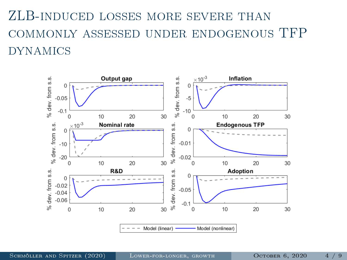# ZLB-induced losses more severe than commonly assessed under endogenous TFP dynamics

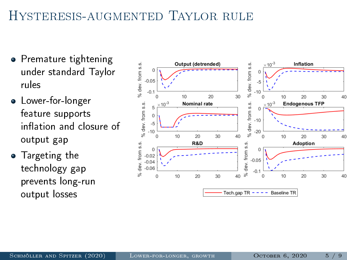# Hysteresis-augmented Taylor rule

- Premature tightening under standard Taylor rules
- Lower-for-longer feature supports inflation and closure of output gap
- **•** Targeting the technology gap prevents long-run output losses

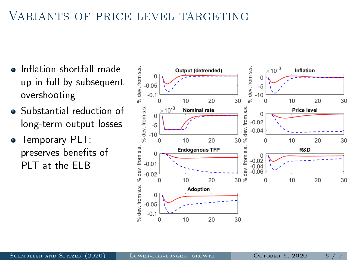## Variants of price level targeting

- **o** Inflation shortfall made up in full by subsequent overshooting
- Substantial reduction of long-term output losses
- Temporary PLT: preserves benefits of PLT at the ELB

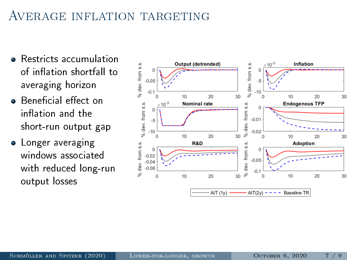## AVERAGE INFLATION TARGETING

- **e** Restricts accumulation of inflation shortfall to averaging horizon
- **•** Beneficial effect on inflation and the short-run output gap
- **•** Longer averaging windows associated with reduced long-run output losses

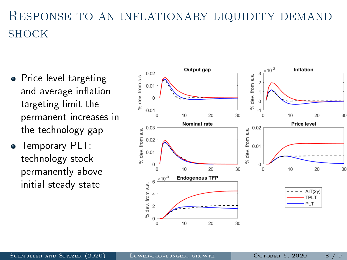# Response to an inflationary liquidity demand **SHOCK**

- Price level targeting and average inflation targeting limit the permanent increases in the technology gap
- **•** Temporary PLT: technology stock permanently above initial steady state